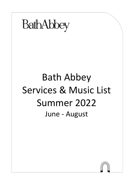

# Bath Abbey Services & Music List Summer 2022 June - August

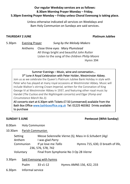# **Our regular Weekday services are as follows: 8.30am Morning Prayer Monday – Friday. 5.30pm Evening Prayer Monday – Friday unless Choral Evensong is taking place.**

Unless otherwise indicated all services on Weekdays and 8am Holy Communion on Sundays are said services.

## **THURSDAY 2 JUNE Platinum Jubilee**

5.30pm Evening Prayer *Sung by the Melody Makers*

Anthems Close thine eyes *Mary Plumstead* All things bright and beautiful *John Rutter* Listen to the song of the children *Philip Moore* Hymn 394

# Summer Evenings – Music, wine and conversation… 3<sup>rd</sup> June A Royal Celebration with Peter Holder, Westminster Abbey.

Join us as we celebrate the Queen's Platinum Jubilee Bank Holiday in style with Peter who has played at many royal occasions at Westminster Abbey. Music will include Walton's stirring *Crown Imperial,* written for the Coronation of King George VI at Westminster Abbey in 1937, and featuring other royal music by Handel (*The Cuckoo and the Nightingale* concerto) and Elgar (*Pomp and Circumstance March No.3).*

All concerts start at 6.30pm with Tickets £7.50 (unreserved) available from the Bath Box Office [www.bathboxoffice.org.uk](http://www.bathboxoffice.org.uk/) Tel: 01225 463362 Drinks available to purchase

# **SUNDAY 5 JUNE Pentecost (Whit Sunday)**

- 8.00am Holy Communion
- 10.30am Parish Communion

| Setting   | Messe Solennelle Vierne (S), Mass in G Schubert (Aq) |                                   |  |
|-----------|------------------------------------------------------|-----------------------------------|--|
| Anthem    | I was glad Parry                                     |                                   |  |
| Communion | If ye love me Tallis                                 | Hymns 715, 630, O breath of life, |  |
|           | 236, 576, 578, 742                                   |                                   |  |
| Voluntary | Final from Symphonie No 3 Op 28 Vierne               |                                   |  |

| 3.30 <sub>pm</sub> |       | Said Evensong with hymns |                          |
|--------------------|-------|--------------------------|--------------------------|
|                    | Psalm | 33 v1-12                 | Hymns AMNS 156, 422, 233 |
|                    |       |                          |                          |

6.30pm Informal service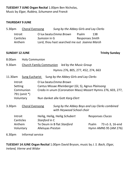**TUESDAY 7 JUNE Organ Recital** 1.00pm Ben Nicholas, Music by *Elgar, Rubbra, Schumann and Franck*

### **THURSDAY 9 JUNE**

| 5.30pm                | <b>Choral Evensong</b>                                   |                                           | Sung by the Abbey Girls and Lay Clerks                                                                                                                                         |                                 |                                  |                                          |
|-----------------------|----------------------------------------------------------|-------------------------------------------|--------------------------------------------------------------------------------------------------------------------------------------------------------------------------------|---------------------------------|----------------------------------|------------------------------------------|
| Introit               | <b>Canticles</b><br>Anthem                               | Sumsion in G                              | O lux beata Emma Brown<br>Lord, thou hast searched me out Joanna Marsh                                                                                                         | Psalm<br><b>Responses Smith</b> | 138                              |                                          |
| <b>SUNDAY 12 JUNE</b> |                                                          |                                           |                                                                                                                                                                                |                                 |                                  | <b>Trinity Sunday</b>                    |
| 8.00am                | <b>Holy Communion</b>                                    |                                           |                                                                                                                                                                                |                                 |                                  |                                          |
| 9.30am                | <b>Church Family Communion</b><br>led by the Music Group |                                           |                                                                                                                                                                                |                                 |                                  |                                          |
|                       |                                                          |                                           | Hymns 276, 805, 277, 452, 274, 663                                                                                                                                             |                                 |                                  |                                          |
| 11.30am               |                                                          |                                           | <b>Sung Eucharist</b> Sung by the Abbey Girls and Lay Clerks                                                                                                                   |                                 |                                  |                                          |
| Introit               | Setting<br>Communion<br>791 (omit *)<br>Voluntary        |                                           | O lux beata Emma Brown<br>Cantus Missae Rheinberger (GI, S), Agnus Plainsong<br>Credo in unum (Coronation Mass) Mozart Hymns 276, 603, 277,<br>Nun danket alle Gott Karg-Elert |                                 |                                  |                                          |
| 3.30pm                | <b>Choral Evensong</b>                                   |                                           | Sung by the Abbey Boys and Lay Clerks combined<br>with Heywood School choir                                                                                                    |                                 |                                  |                                          |
| Introit               | Canticles<br>Anthem<br>Voluntary                         | Stanford in C<br><b>Alleluyas Preston</b> | Heilig, Heilig, Heilig Schubert<br>Te Deum in B flat Stanford                                                                                                                  |                                 | <b>Responses Clucas</b><br>Psalm | 73 v1-3, 16-end<br>Hymn AMNS 95 (AM 276) |

6.30pm Informal service

**TUESDAY 14 JUNE Organ Recital** 1.00pm David Bryson, music by *J. S. Bach, Elgar, Ireland, Vierne* and *Widor*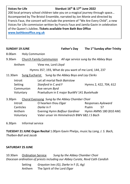# **Voices for Life Stardust 16th & 17th June 2022**

200 local primary school children take you on a magical journey through space… Accompanied by The Bristol Ensemble, narrated by Jon Monie and directed by Francis Faux, the concert will include the premiere of "We Are Every Child", a new Voices for Life commission written by Francis Faux and Jamila Gavin in celebration of the Queen's Jubilee**. Tickets available from Bath Box Office [www.bathboxoffice.org.uk](http://www.bathboxoffice.org.uk/)**

**SUNDAY 19 JUNE Father's Day The 1st Sunday after Trinity** 8.00am Holy Communion 9.30am Church Family Communion *All age service sung by the Abbey Boys*  Anthem View me, Lord *Lloyd* Hymns 357, 193, What do you want of me Lord, 144, 237 11.30am Sung Eucharist S*ung by the Abbey Boys and Lay Clerks*  Introit Let all mortal flesh *Bairstow* Setting *Stanford* in C and F **Hymns 2, 422, 704, 612** Communion Ave verum *Byrd* Voluntary Praeludium in E major BuxWV 141 *Buxtehude* 3.30pm Choral Evensong *Sung by the Abbey Chamber Choir* Introit O hearken thou *Elgar* Responses *Ayleward* **Canticles** *Darke* in F **Property** Psalm 57 Anthem Evening Hymn *Balfour Gardiner* Hymn AMNS 180 (810 AM) Voluntary Vater unser im Himmelreich BWV 682 *J S Bach*

6.30pm Informal service

**TUESDAY 21 JUNE Organ Recital** 1.00pm Gavin Phelps, music by *Lang, J. S. Bach, Thalben-Ball* and *Jacob*

# **SATURDAY 25 JUNE**

10.30am Ordination Service *Sung by the Abbey Chamber Choir Diocesan ordination of priests including our Abbey Curate, Revd Cath Candish*

> Setting *Grayston Ives (G)*, *Darke* in F *(S, Ag)* Anthem The Spirit of the Lord *Elgar*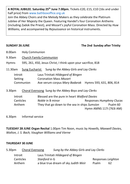**A ROYAL JUBILEE. Saturday 25th June 7.00pm.** Tickets £20, £15, £10 (16s and under half price) from www.bathboxoffice.org.uk

Join the Abbey Choirs and the Melody Makers as they celebrate the Platinum Jubilee of Her Majesty the Queen. Featuring Handel's four Coronation Anthems (including Zadok the Priest), and Mozart's joyful Coronation Mass. Directed by *Huw Williams,* and accompanied by *Rejouissance* on historical instruments.

# **SUNDAY 26 JUNE The 2nd Sunday after Trinity**

- 8.00am Holy Communion
- 9.30am Church Family Communion

### Hymns 595, 261, 450, Jesus Christ, I think upon your sacrifice, 818

- 11.30am Sung Eucharist S*ung by the Abbey Girls and Lay Clerks* 
	- Introit Laus Trinitati *Hildegard of Bingen* Setting Coronation Mass *Mozart* Communion Ave verum corpus *Mary Badarak* Hymns 593, 631, 806, 814
- 3.30pm Choral Evensong S*ung by the Abbey Boys and Lay Clerks*

| Introit          | Blessed are the pure in heart Walford Davies  |                           |          |
|------------------|-----------------------------------------------|---------------------------|----------|
| <b>Canticles</b> | <i>Noble</i> in B minor                       | Responses Humphrey Clucas |          |
| Anthem           | They that go down to the sea in ships Sumsion |                           | Psalm 60 |
|                  |                                               | Hymn AMNS 117i (763i AM)  |          |

6.30pm Informal service

**TUESDAY 28 JUNE Organ Recital** 1.00pm Tim Noon, music by *Howells, Maxwell Davies, Walton, J. S. Bach, Vaughan Williams and Vierne* 

### **THURSDAY 30 JUNE**

|                                     |                                                                                             | Responses Leighton                     |
|-------------------------------------|---------------------------------------------------------------------------------------------|----------------------------------------|
|                                     | Psalm                                                                                       | 62                                     |
| <b>Choral Evensong</b><br>Canticles | Laus Trinitati Hildegard of Bingen<br>Stanford in G<br>a blue true dream of sky Judith Weir | Sung by the Abbey Girls and Lay Clerks |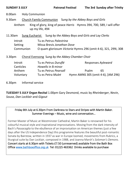| 8.00am                                                                                                                                                     |                      | <b>Holy Communion</b>                                    |                                                 |  |                                                                |                                    |
|------------------------------------------------------------------------------------------------------------------------------------------------------------|----------------------|----------------------------------------------------------|-------------------------------------------------|--|----------------------------------------------------------------|------------------------------------|
| 9.30am                                                                                                                                                     |                      | Church Family Communion Sung by the Abbey Boys and Girls |                                                 |  |                                                                |                                    |
| King of glory, king of peace Harris Hymns 394, 700, 589, I will offer<br>Anthem<br>up my life, 494                                                         |                      |                                                          |                                                 |  |                                                                |                                    |
| 11.30am                                                                                                                                                    |                      |                                                          |                                                 |  | Sung Eucharist Sung by the Abbey Boys and Girls and Lay Clerks |                                    |
| Introit<br>Tu es Petrus Palestrina<br>Setting<br>Missa Brevis Jonathan Dove<br>Communion<br>O quam gloriosum Victoria Hymns 296 (omit 4-6), 321, 299i, 308 |                      |                                                          |                                                 |  |                                                                |                                    |
| 3.30pm                                                                                                                                                     |                      |                                                          | Choral Evensong Sung by the Abbey Chamber Choir |  |                                                                |                                    |
|                                                                                                                                                            | Introit<br>Canticles |                                                          | Tu es Petrus Duruflé<br>Howells in B minor      |  |                                                                | Responses Ayleward                 |
|                                                                                                                                                            | Anthem               |                                                          | Tu es Petrus Pearsall                           |  | Psalm                                                          | 65                                 |
|                                                                                                                                                            | Voluntary            |                                                          | Tu es Petra Mulet                               |  |                                                                | Hymn AMNS 305 (omit 4-6), [AM 296) |
| 6.30pm                                                                                                                                                     |                      | Informal service                                         |                                                 |  |                                                                |                                    |

**SUNDAY 3 JULY Patronal Festival The 3rd Sunday after Trinity**

**TUESDAY 5 JULY Organ Recital** 1.00pm Gary Desmond, music by *Rheinberger*, *Nevin*, *Sousa*, *Dan Locklair* and *Gigout*

Friday 8th July at 6.30pm From Darkness to Stars and Stripes with Martin Baker. Summer Evenings – Music, wine and conversation…

Former Master of Music at Westminster Cathedral, Martin Baker is renowned for his colourful musical style and inspirational improvisations. Moving from the dark intensity of Bach's *Passacaglia* to the ebullience of an improvisation on American themes (just a few days after the US Independence Day) this programme features the beautiful post-romantic Sonata by Bairstow, written in 1937 as war in Europe loomed, movements from Rubrics, a liturgical suite by Dan Locklair, composed in 1988, and Joanna Marsh's *Soloman's Demons*. Concert starts at 6.30pm with Tickets £7.50 (unreserved) available from the Bath Box Office [www.bathboxoffice.org.uk](http://www.bathboxoffice.org.uk/) Tel: 01225 463362 Drinks available to purchase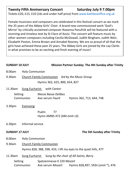# **Twenty Fifth Anniversary Concert Saturday July 9 7.00pm**

Tickets £20, £15, £10 (16s and under half price) from www.bathboxoffice.org.uk

Female musicians and composers are celebrated in this festival concert as we mark the 25 years of the Abbey Girls' Choir. A brand new commissioned work 'God's Mirror' by critically acclaimed composer Roxanna Panufnik will be featured with a stunning and timeless text by St Clare of Assisi. The concert will feature music by other women composers including Cecilia McDowall, Judith Bingham, Judith Weir, Elizabeth Poston, Emma Brown and Annabel Rooney. We are so proud of all that the girls have achieved these past 25 years. The Abbey Girls are joined by the Lay Clerks in what promises to be an exciting and fresh evening of music!

| <b>SUNDAY 10 JULY</b> |                       |                                   |                                                                  | <b>Mission Partner Sunday The 4th Sunday after Trinity</b> |  |
|-----------------------|-----------------------|-----------------------------------|------------------------------------------------------------------|------------------------------------------------------------|--|
| 8.00am                | <b>Holy Communion</b> |                                   |                                                                  |                                                            |  |
| 9.30am                |                       |                                   | Church Family Communion led by the Music Group                   |                                                            |  |
|                       |                       | Hymns 362, 625, 800, 654, 827     |                                                                  |                                                            |  |
| 11.30am               |                       | <b>Sung Eucharist</b> with Cantor |                                                                  |                                                            |  |
| Setting               |                       | <b>Messe Basse Delibes</b>        |                                                                  |                                                            |  |
|                       | Communion             |                                   | Ave verum <i>Fauré</i> Hymns 362, 713, 644, 748                  |                                                            |  |
| 3.30pm                | <b>Evensong</b>       |                                   |                                                                  |                                                            |  |
|                       |                       | Psalm<br>77                       |                                                                  |                                                            |  |
|                       |                       | Hymn AMNS 472 (AM omit v3)        |                                                                  |                                                            |  |
| 6.30 <sub>pm</sub>    | Informal service      |                                   |                                                                  |                                                            |  |
| <b>SUNDAY 17 JULY</b> |                       |                                   |                                                                  | The 5th Sunday after Trinity                               |  |
| 8.00am                | <b>Holy Communion</b> |                                   |                                                                  |                                                            |  |
| 9.30am                |                       | <b>Church Family Communion</b>    |                                                                  |                                                            |  |
|                       |                       |                                   | Hymns 828, 388, 598, 433, I lift my eyes to the quiet hills, 477 |                                                            |  |
| 11.30am               |                       |                                   | Sung Eucharist Sung by the choir of All Saints, Barry            |                                                            |  |
|                       |                       | Setting Spatzenmesse K 220 Mozart |                                                                  |                                                            |  |
|                       | Communion             | Ave verum Mozart                  |                                                                  | Hymns 828,497, 593ii (omit *), 476                         |  |
|                       |                       |                                   |                                                                  |                                                            |  |
|                       |                       |                                   |                                                                  |                                                            |  |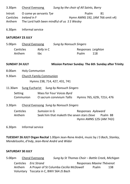| 3.30 <sub>pm</sub> | <b>Choral Evensong</b>                     | Sung by the choir of All Saints, Barry |     |
|--------------------|--------------------------------------------|----------------------------------------|-----|
|                    | Introit O come ye servants Tye             | Psalm                                  | -81 |
|                    | Canticles Ireland in F                     | Hymn AMNS 192, (AM 766 omit v4)        |     |
| Anthem             | The Lord hath been mindful of us SS Wesley |                                        |     |

6.30pm Informal service

### **SATURDAY 23 JULY**

| 5.00pm           | Choral Evensong   | <b>Sung by Nonsuch Singers</b> |     |
|------------------|-------------------|--------------------------------|-----|
| <b>Canticles</b> | <i>Kelly</i> in C | Responses Leighton             |     |
| Anthem           | tbc               | Psalm                          | 118 |

**SUNDAY 24 JULY Mission Partner Sunday The 6th Sunday after Trinity**

- 8.00am Holy Communion
- 9.30am Church Family Communion Hymns 238, 714, 427, 431, 741
- 11.30am Sung Eucharist *Sung by Nonsuch Singers*
	- Setting Mass for Four Voices *Byrd* Communion O sacrum convivium *Tallis* Hymns 765, 629i, 721ii, 476
- 3.30pm Choral Evensong *Sung by Nonsuch Singers*

Canticles *Sumsion* in G Responses *Ayleward* Anthem Seek him that maketh the seven stars *Dove* Psalm 88 Hymn AMNS 125i (AM 742i)

6.30pm Informal service

**TUESDAY 26 JULY Organ Recital** 1.00pm Jean-Rene André, music by *J S Bach*, *Stanley*, *Mendelssohn*, *d'Indy*, *Jean-René André* and *Widor*

### **SATURDAY 30 JULY**

5.00pm Choral Evensong *Sung by St Thomas Choir – Battle Creek, Michigan* Canticles *Eric Strand* Responses *Maxine Thévenot* Anthem A Prayer of St Columba *Cecilia McDowell* Psalm 138 Voluntary Toccata in C, BWV 564 *JS Bach*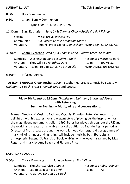8.00am Holy Communion

9.30am Church Family Communion

Hymns 584, 704, 683, 442, 678

11.30am Sung Eucharist S*ung by St Thomas Choir – Battle Creek, Michigan*

Setting Missa Brevis *Jackson Hill* Communion Ave Verum Corpus *Stephanie Martin* Voluntary Phoenix Processional *Dan Locklair* Hymns 584, 595,453, 739

3.30pm Choral Evensong S*ung by St Thomas Choir – Battle Creek, Michigan*

Canticles Washington Canticles *Jeffrey Smith* Responses *Margaret Burk* Anthem They will rise *Jonathon Dove* Psalm 107 v1-32 Voluntary Psalm Prelude, Set 2, No 3 Howells Hymn AMNS 203 (AM 753)

6.30pm Informal service

**TUESDAY 2 AUGUST Organ Recital** 1.00pm Stephen Hargreaves, music by *Bairstow*, *Guilmant*, *J S Bach*, *Franck, Ronald Binge* and *Cocker.* 

## **Friday 5th August at 6.30pm '***Thunder and Lightning, Storm and Stress'* **with Peter King. Summer Evenings – Music, wine and conversation…**

Former Director of Music at Bath and Organist Emeritus Peter King returns to delight us with his expressive and elegant style of playing. As the inspiration for the magnificent instrument, built in 1997, Peter has played throughout the UK and the world, and created an enviable musical tradition at Bath during his period as Director of Music, based around the world famous Klais organ. His programme of music full of 'thunder and lightning' will include music by Petr Eben, Lizst's atmospheric 'Legend: St Francis of Paola walking on the waves' arranged by Max Reger, and music by Amy Beach and Florence Price.

### **SATURDAY 6 AUGUST**

5.00pm Choral Evensong *Sung by Swansea Bach Choir*

Canticles The Short Service *Gibbons* Responses *Robert Hanson* Anthem Laudibus in Sanctis *Byrd* Psalm 72 Voluntary Allabreve BWV 589 *J S Bach*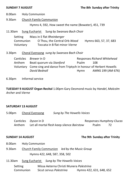8.00am Holy Communion

9.30am Church Family Communion

Hymns 4, 592, How sweet the name (Bowater), 451, 739

11.30am Sung Eucharist S*ung by Swansea Bach Choir*

Setting Mass in E flat *Rheinberger* Communion O Thou, the Central Orb *Wood* Hymns 663, 57, 37, 683 Voluntary Toccata in B flat minor *Vierne*

3.30pm Choral Evensong *sung by Swansea Bach Choir*

Canticles *Brewer* in D **Responses** *Richard Whitehead* Anthem Beati quorum via *Stanford* Psalm 108 Voluntary Come sing and dance from Triptych in honour of Herbert Howells *David Bednall* Hymn AMNS 199 (AM 676)

6.30pm Informal service

**TUESDAY 9 AUGUST Organ Recital** 1.00pm Gary Desmond music by *Handel*, *Malcolm Archer* and *Vierne*

# **SATURDAY 13 AUGUST**

5.00pm Choral Evensong *Sung by The Howells Voices*

Canticles *Dyson* in D Responses *Humphrey Clucas* Anthem Let all mortal flesh keep silence *Bairstow* Psalm 72

# **SUNDAY 14 AUGUST** SUNDAY 14 AUGUST

- 8.00am Holy Communion
- 9.30am Church Family Communion *led by the Music Group* Hymns 422, 648, 587, 358, 502
- 11.30am Sung Eucharist *Sung by The Howells Voices*
	- Setting Missa Aeterna Christi Munera *Palestrina* Communion Sicut cervus *Palestrina* Hymns 422, 631, 648, 652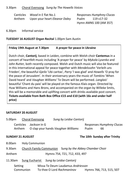### 3.30pm Choral Evensong *Sung by The Howells Voices*

Canticles *Wood* in E flat No.1 Responses *Humphrey Clucas* Anthem Upon your heart *Eleanor Daley* Psalm 119 v17-32

Hymn AMNS 100 (AM 357)

6.30pm Informal service

### **TUESDAY 16 AUGUST Organ Recital** 1.00pm Sam Austin

# **Friday 19th August at 7.30pm A prayer for peace in Ukraine**

Dutch choir, **Cantorij**, based in Leiden, combine with Welsh choir **Cantemus** in a concert of heartfelt music including 'A prayer for peace' by *Mykola Lysenko* and *John Rutter,* both recently composed. Welsh and Dutch music will also be featured in this international appeal for peace together with *Mendelssohn* 'Verleih uns Frieden', the beautiful *Gjeilo* 'Ubi caritas', *Parry* 'I was glad' and *Howells* 'O pray for the peace of Jerusalem'. In their anniversary years the music of *Tomkins* 'When David heard' and *Vaughan Williams'* Te Deum will be performed. *Langlais*' beautiful 'Chant du paix' will be played on the famous Klais organ. Directed by Huw Williams and Hans Brons, and accompanied on the organ by Willeke Smits, this will be a memorable and uplifting concert with drinks available post concert. **Tickets available from Bath Box Office £15 and £10 (with 16s and under half price)**

### **SATURDAY 20 AUGUST**

| 5.00pm                  |                            | <b>Choral Evensong</b> | Sung by Leidse Cantorii                                         |       |                                 |
|-------------------------|----------------------------|------------------------|-----------------------------------------------------------------|-------|---------------------------------|
|                         | <b>Canticles</b><br>Anthem | Jackson in G           | O clap your hands Vaughan Williams                              | Psalm | Responses Humphrey Clucas<br>66 |
| <b>SUNDAY 21 AUGUST</b> |                            |                        |                                                                 |       | The 10th Sunday after Trinity   |
| 8.00am                  |                            | <b>Holy Communion</b>  |                                                                 |       |                                 |
| 9.30am                  |                            |                        | Church Family Communion Sung by the Abbey Chamber Choir         |       |                                 |
| Anthem                  |                            |                        | Hymns 754, 721, 712, 433, 497                                   |       |                                 |
| 11.30am                 |                            |                        | Sung Eucharist Sung by Leidse Cantorij                          |       |                                 |
|                         | Setting<br>Communion       |                        | Missa Te Deum Laudamus Andriesson<br>To thee O Lord Rachmaninov |       | Hymns 766, 713, 515, 507        |